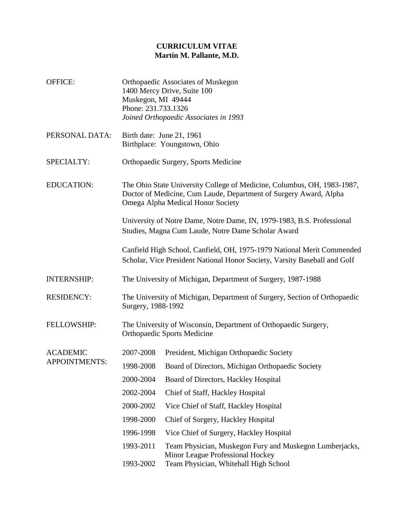## **CURRICULUM VITAE Martin M. Pallante, M.D.**

| OFFICE:                                 | <b>Orthopaedic Associates of Muskegon</b><br>1400 Mercy Drive, Suite 100<br>Muskegon, MI 49444<br>Phone: 231.733.1326<br>Joined Orthopaedic Associates in 1993                    |                                                                                                                                      |  |
|-----------------------------------------|-----------------------------------------------------------------------------------------------------------------------------------------------------------------------------------|--------------------------------------------------------------------------------------------------------------------------------------|--|
| PERSONAL DATA:                          | Birth date: June 21, 1961<br>Birthplace: Youngstown, Ohio                                                                                                                         |                                                                                                                                      |  |
| SPECIALTY:                              | Orthopaedic Surgery, Sports Medicine                                                                                                                                              |                                                                                                                                      |  |
| <b>EDUCATION:</b>                       | The Ohio State University College of Medicine, Columbus, OH, 1983-1987,<br>Doctor of Medicine, Cum Laude, Department of Surgery Award, Alpha<br>Omega Alpha Medical Honor Society |                                                                                                                                      |  |
|                                         | University of Notre Dame, Notre Dame, IN, 1979-1983, B.S. Professional<br>Studies, Magna Cum Laude, Notre Dame Scholar Award                                                      |                                                                                                                                      |  |
|                                         | Canfield High School, Canfield, OH, 1975-1979 National Merit Commended<br>Scholar, Vice President National Honor Society, Varsity Baseball and Golf                               |                                                                                                                                      |  |
| <b>INTERNSHIP:</b>                      | The University of Michigan, Department of Surgery, 1987-1988                                                                                                                      |                                                                                                                                      |  |
| <b>RESIDENCY:</b>                       | The University of Michigan, Department of Surgery, Section of Orthopaedic<br>Surgery, 1988-1992                                                                                   |                                                                                                                                      |  |
| <b>FELLOWSHIP:</b>                      | The University of Wisconsin, Department of Orthopaedic Surgery,<br><b>Orthopaedic Sports Medicine</b>                                                                             |                                                                                                                                      |  |
| <b>ACADEMIC</b><br><b>APPOINTMENTS:</b> | 2007-2008                                                                                                                                                                         | President, Michigan Orthopaedic Society                                                                                              |  |
|                                         | 1998-2008                                                                                                                                                                         | Board of Directors, Michigan Orthopaedic Society                                                                                     |  |
|                                         | 2000-2004                                                                                                                                                                         | Board of Directors, Hackley Hospital                                                                                                 |  |
|                                         | 2002-2004                                                                                                                                                                         | Chief of Staff, Hackley Hospital                                                                                                     |  |
|                                         | 2000-2002                                                                                                                                                                         | Vice Chief of Staff, Hackley Hospital                                                                                                |  |
|                                         | 1998-2000                                                                                                                                                                         | Chief of Surgery, Hackley Hospital                                                                                                   |  |
|                                         | 1996-1998                                                                                                                                                                         | Vice Chief of Surgery, Hackley Hospital                                                                                              |  |
|                                         | 1993-2011<br>1993-2002                                                                                                                                                            | Team Physician, Muskegon Fury and Muskegon Lumberjacks,<br>Minor League Professional Hockey<br>Team Physician, Whitehall High School |  |